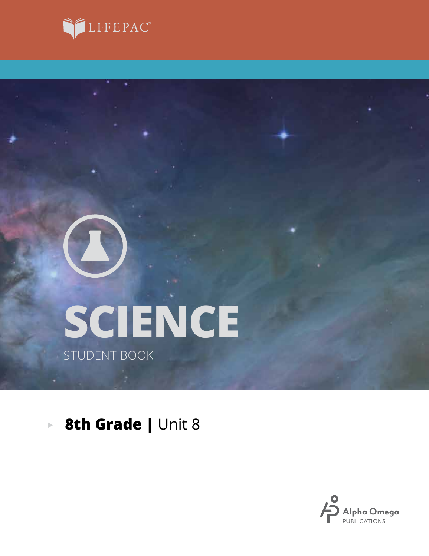



# **SCIENCE** STUDENT BOOK

#### **8th Grade |** Unit 8 $\mathbb{R}^2$

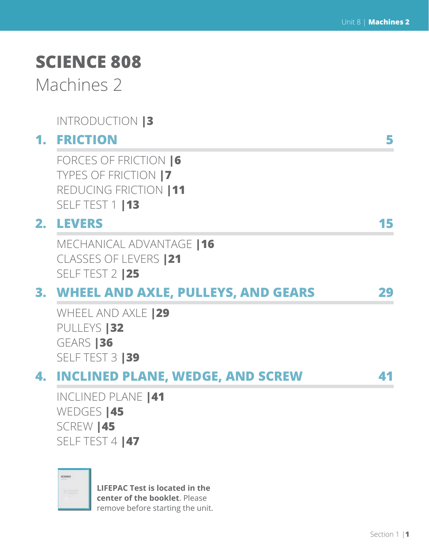# **SCIENCE 808**

Machines 2

| <b>INTRODUCTION 3</b>                                                                                    |    |
|----------------------------------------------------------------------------------------------------------|----|
| <b>1. FRICTION</b>                                                                                       | 5  |
| <b>FORCES OF FRICTION 6</b><br><b>TYPES OF FRICTION 17</b><br>REDUCING FRICTION   11<br>SELF TEST 1   13 |    |
| 2. LEVERS                                                                                                | 15 |
| MECHANICAL ADVANTAGE   16<br><b>CLASSES OF LEVERS 21</b><br>SELF TEST 2  25                              |    |
| 3. WHEEL AND AXLE, PULLEYS, AND GEARS                                                                    | 29 |
| WHEEL AND AXLE <b>29</b><br>PULLEYS   32<br>GEARS   36<br>SELF TEST 3   39                               |    |
| <b>4. INCLINED PLANE, WEDGE, AND SCREW</b>                                                               |    |
| <b>INCLINED PLANE 141</b><br>WEDGES   45<br>SCREW  45<br>SELF TEST $4$  47                               |    |



**LIFEPAC Test is located in the center of the booklet**. Please remove before starting the unit.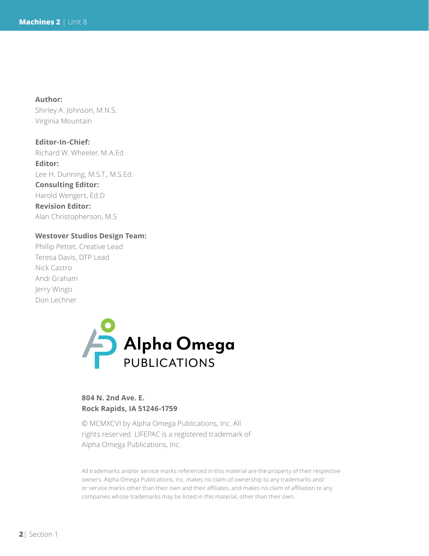#### **Author:**

Shirley A. Johnson, M.N.S. Virginia Mountain

**Editor-In-Chief:** Richard W. Wheeler, M.A.Ed **Editor:** Lee H. Dunning, M.S.T., M.S.Ed. **Consulting Editor:** Harold Wengert, Ed.D **Revision Editor:** Alan Christopherson, M.S

#### **Westover Studios Design Team:**

Phillip Pettet, Creative Lead Teresa Davis, DTP Lead Nick Castro Andi Graham Jerry Wingo Don Lechner



#### **804 N. 2nd Ave. E. Rock Rapids, IA 51246-1759**

© MCMXCVI by Alpha Omega Publications, Inc. All rights reserved. LIFEPAC is a registered trademark of Alpha Omega Publications, Inc.

All trademarks and/or service marks referenced in this material are the property of their respective owners. Alpha Omega Publications, Inc. makes no claim of ownership to any trademarks and/ or service marks other than their own and their affiliates, and makes no claim of affiliation to any companies whose trademarks may be listed in this material, other than their own.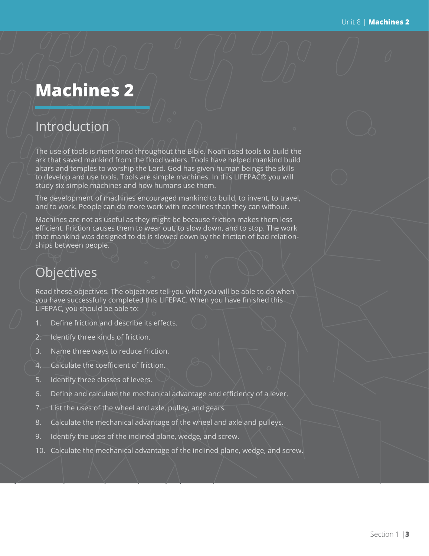## **Machines 2**

### Introduction

The use of tools is mentioned throughout the Bible. Noah used tools to build the ark that saved mankind from the flood waters. Tools have helped mankind build altars and temples to worship the Lord. God has given human beings the skills to develop and use tools. Tools are simple machines. In this LIFEPAC® you will study six simple machines and how humans use them.

The development of machines encouraged mankind to build, to invent, to travel, and to work. People can do more work with machines than they can without.

Machines are not as useful as they might be because friction makes them less efficient. Friction causes them to wear out, to slow down, and to stop. The work that mankind was designed to do is slowed down by the friction of bad relationships between people.

### **Objectives**

Read these objectives. The objectives tell you what you will be able to do when you have successfully completed this LIFEPAC. When you have finished this LIFEPAC, you should be able to:

- 1. Define friction and describe its effects.
- 2. Identify three kinds of friction.
- 3. Name three ways to reduce friction.
- 4. Calculate the coefficient of friction.
- 5. Identify three classes of levers.
- 6. Define and calculate the mechanical advantage and efficiency of a lever.
- 7. List the uses of the wheel and axle, pulley, and gears.
- 8. Calculate the mechanical advantage of the wheel and axle and pulleys.
- 9. Identify the uses of the inclined plane, wedge, and screw.
- 10. Calculate the mechanical advantage of the inclined plane, wedge, and screw.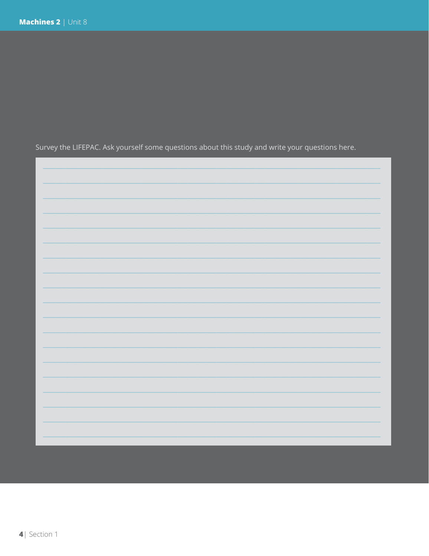Survey the LIFEPAC. Ask yourself some questions about this study and write your questions here.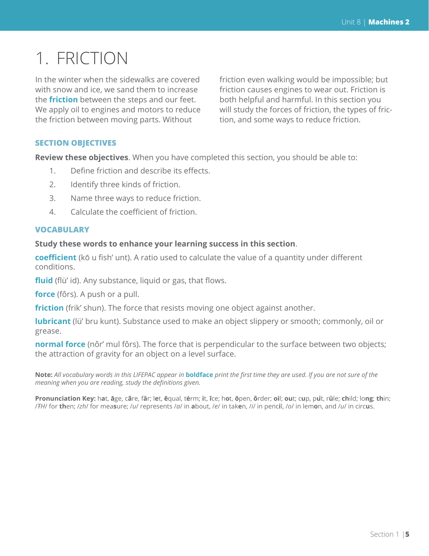# 1. FRICTION

In the winter when the sidewalks are covered with snow and ice, we sand them to increase the **friction** between the steps and our feet. We apply oil to engines and motors to reduce the friction between moving parts. Without

friction even walking would be impossible; but friction causes engines to wear out. Friction is both helpful and harmful. In this section you will study the forces of friction, the types of friction, and some ways to reduce friction.

#### **SECTION OBJECTIVES**

**Review these objectives**. When you have completed this section, you should be able to:

- 1. Define friction and describe its effects.
- 2. Identify three kinds of friction.
- 3. Name three ways to reduce friction.
- 4. Calculate the coefficient of friction.

#### **VOCABULARY**

#### **Study these words to enhance your learning success in this section**.

**coefficient** (kō u fish' unt). A ratio used to calculate the value of a quantity under different conditions.

**fluid** (flü' id). Any substance, liquid or gas, that flows.

**force** (fôrs). A push or a pull.

**friction** (frik' shun). The force that resists moving one object against another.

**lubricant** (lü' bru kunt). Substance used to make an object slippery or smooth; commonly, oil or grease.

**normal force** (nôr' mul fôrs). The force that is perpendicular to the surface between two objects; the attraction of gravity for an object on a level surface.

**Note:** *All vocabulary words in this LIFEPAC appear in* **boldface** *print the first time they are used. If you are not sure of the meaning when you are reading, study the definitions given.*

Pronunciation Key: hat, āge, cãre, fär; let, ēqual, tėrm; it, īce; hot, ōpen, ôrder; oil; out; cup, put, rüle; child; long; thin; /FH/ for then; /zh/ for measure; /u/ represents /a/ in about, /e/ in taken, /i/ in pencil, /o/ in lemon, and /u/ in circus.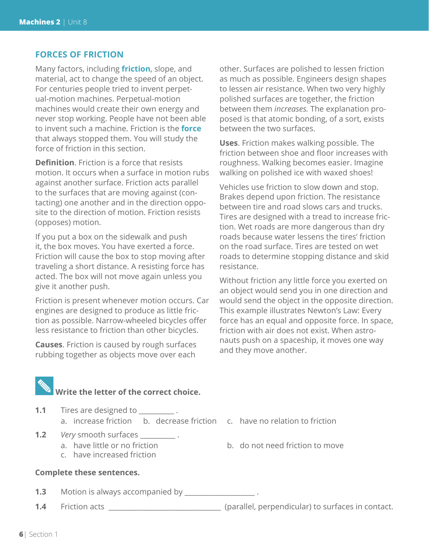#### **FORCES OF FRICTION**

Many factors, including **friction**, slope, and material, act to change the speed of an object. For centuries people tried to invent perpetual-motion machines. Perpetual-motion machines would create their own energy and never stop working. People have not been able to invent such a machine. Friction is the **force** that always stopped them. You will study the force of friction in this section.

**Definition**. Friction is a force that resists motion. It occurs when a surface in motion rubs against another surface. Friction acts parallel to the surfaces that are moving against (contacting) one another and in the direction opposite to the direction of motion. Friction resists (opposes) motion.

If you put a box on the sidewalk and push it, the box moves. You have exerted a force. Friction will cause the box to stop moving after traveling a short distance. A resisting force has acted. The box will not move again unless you give it another push.

Friction is present whenever motion occurs. Car engines are designed to produce as little friction as possible. Narrow-wheeled bicycles offer less resistance to friction than other bicycles.

**Causes**. Friction is caused by rough surfaces rubbing together as objects move over each

other. Surfaces are polished to lessen friction as much as possible. Engineers design shapes to lessen air resistance. When two very highly polished surfaces are together, the friction between them *increases.* The explanation proposed is that atomic bonding, of a sort, exists between the two surfaces.

**Uses**. Friction makes walking possible. The friction between shoe and floor increases with roughness. Walking becomes easier. Imagine walking on polished ice with waxed shoes!

Vehicles use friction to slow down and stop. Brakes depend upon friction. The resistance between tire and road slows cars and trucks. Tires are designed with a tread to increase friction. Wet roads are more dangerous than dry roads because water lessens the tires' friction on the road surface. Tires are tested on wet roads to determine stopping distance and skid resistance.

Without friction any little force you exerted on an object would send you in one direction and would send the object in the opposite direction. This example illustrates Newton's Law: Every force has an equal and opposite force. In space, friction with air does not exist. When astronauts push on a spaceship, it moves one way and they move another.

#### **Write the letter of the correct choice.**

- **1.1** Tires are designed to  $\qquad \qquad$ . a. increase friction b. decrease friction c. have no relation to friction
- **1.2** *Very* smooth surfaces \_\_\_\_\_\_\_\_\_\_ .
	- a. have little or no friction b. do not need friction to move
	- c. have increased friction

- **Complete these sentences.**
- **1.3** Motion is always accompanied by
- 
- **1.4** Friction acts \_\_\_\_\_\_\_\_\_\_\_\_\_\_\_\_\_\_\_\_\_\_\_\_\_\_\_\_\_\_\_\_ (parallel, perpendicular) to surfaces in contact.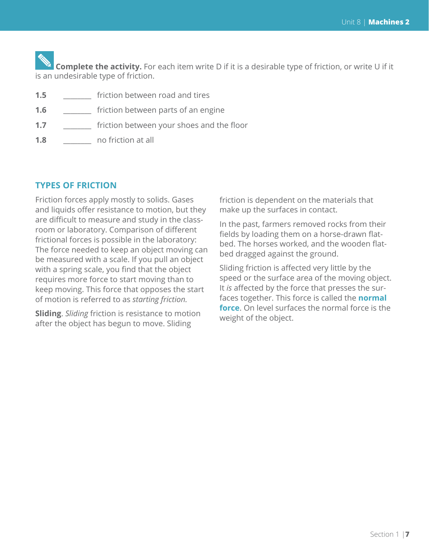**Complete the activity.** For each item write D if it is a desirable type of friction, or write U if it is an undesirable type of friction.

- **1.5 heta** friction between road and tires
- **1.6** \_\_\_\_\_\_\_\_ friction between parts of an engine
- **1.7 1.7 h** friction between your shoes and the floor
- **1.8 h** no friction at all

#### **TYPES OF FRICTION**

Friction forces apply mostly to solids. Gases and liquids offer resistance to motion, but they are difficult to measure and study in the classroom or laboratory. Comparison of different frictional forces is possible in the laboratory: The force needed to keep an object moving can be measured with a scale. If you pull an object with a spring scale, you find that the object requires more force to start moving than to keep moving. This force that opposes the start of motion is referred to as *starting friction.*

**Sliding**. *Sliding* friction is resistance to motion after the object has begun to move. Sliding

friction is dependent on the materials that make up the surfaces in contact.

In the past, farmers removed rocks from their fields by loading them on a horse-drawn flatbed. The horses worked, and the wooden flatbed dragged against the ground.

Sliding friction is affected very little by the speed or the surface area of the moving object. It *is* affected by the force that presses the surfaces together. This force is called the **normal force**. On level surfaces the normal force is the weight of the object.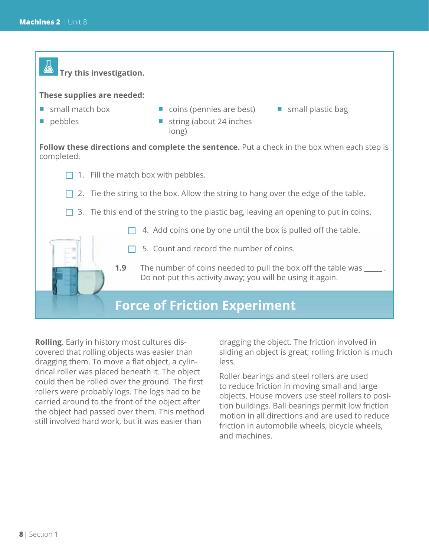| Try this investigation.                                                                                   |                                                                                                                                  |  |
|-----------------------------------------------------------------------------------------------------------|----------------------------------------------------------------------------------------------------------------------------------|--|
| These supplies are needed:                                                                                |                                                                                                                                  |  |
| small match box<br>pebbles                                                                                | coins (pennies are best)<br>■ small plastic bag<br>string (about 24 inches<br>long)                                              |  |
| Follow these directions and complete the sentence. Put a check in the box when each step is<br>completed. |                                                                                                                                  |  |
|                                                                                                           | 1. Fill the match box with pebbles.                                                                                              |  |
| 2. Tie the string to the box. Allow the string to hang over the edge of the table.                        |                                                                                                                                  |  |
|                                                                                                           | 3. Tie this end of the string to the plastic bag, leaving an opening to put in coins.                                            |  |
|                                                                                                           | 4. Add coins one by one until the box is pulled off the table.                                                                   |  |
|                                                                                                           | 5. Count and record the number of coins.                                                                                         |  |
| 1.9                                                                                                       | The number of coins needed to pull the box off the table was _____<br>Do not put this activity away; you will be using it again. |  |
|                                                                                                           | <b>Force of Friction Experiment</b>                                                                                              |  |

**Rolling**. Early in history most cultures discovered that rolling objects was easier than dragging them. To move a flat object, a cylindrical roller was placed beneath it. The object could then be rolled over the ground. The first rollers were probably logs. The logs had to be carried around to the front of the object after the object had passed over them. This method still involved hard work, but it was easier than

dragging the object. The friction involved in sliding an object is great; rolling friction is much less.

Roller bearings and steel rollers are used to reduce friction in moving small and large objects. House movers use steel rollers to position buildings. Ball bearings permit low friction motion in all directions and are used to reduce friction in automobile wheels, bicycle wheels, and machines.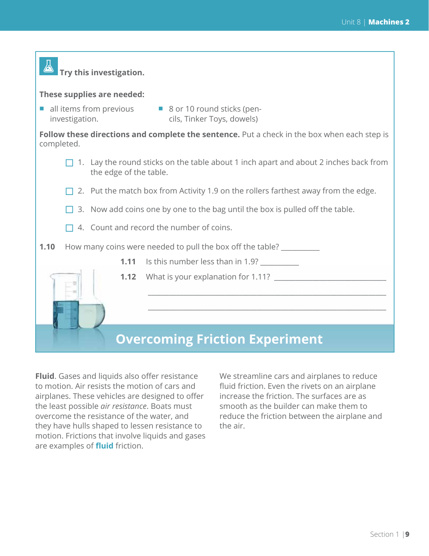

**Fluid**. Gases and liquids also offer resistance to motion. Air resists the motion of cars and airplanes. These vehicles are designed to offer the least possible *air resistance*. Boats must overcome the resistance of the water, and they have hulls shaped to lessen resistance to motion. Frictions that involve liquids and gases are examples of **fluid** friction.

We streamline cars and airplanes to reduce fluid friction. Even the rivets on an airplane increase the friction. The surfaces are as smooth as the builder can make them to reduce the friction between the airplane and the air.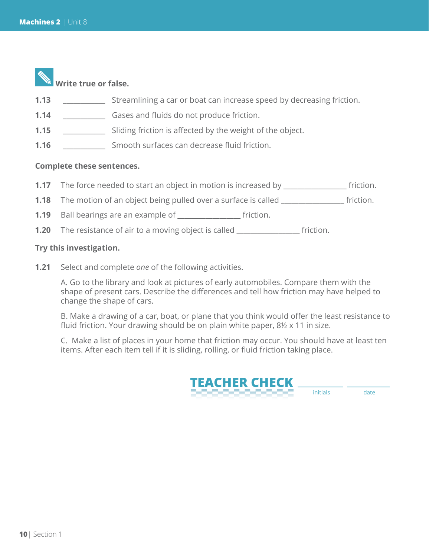

- **1.13** Streamlining a car or boat can increase speed by decreasing friction.
- **1.14** \_\_\_\_\_\_\_\_\_\_\_\_ Gases and fluids do not produce friction.
- **1.15 1.15** Sliding friction is affected by the weight of the object.
- **1.16 Smooth surfaces can decrease fluid friction.**

#### **Complete these sentences.**

- **1.17** The force needed to start an object in motion is increased by **the starting friction**.
- **1.18** The motion of an object being pulled over a surface is called **the interior** friction.
- **1.19** Ball bearings are an example of \_\_\_\_\_\_\_\_\_\_\_\_\_\_\_\_\_\_\_ friction.
- **1.20** The resistance of air to a moving object is called \_\_\_\_\_\_\_\_\_\_\_\_\_\_\_\_\_\_\_\_\_ friction.

#### **Try this investigation.**

**1.21** Select and complete *one* of the following activities.

A. Go to the library and look at pictures of early automobiles. Compare them with the shape of present cars. Describe the differences and tell how friction may have helped to change the shape of cars.

B. Make a drawing of a car, boat, or plane that you think would offer the least resistance to fluid friction. Your drawing should be on plain white paper, 8½ x 11 in size.

C. Make a list of places in your home that friction may occur. You should have at least ten items. After each item tell if it is sliding, rolling, or fluid friction taking place.

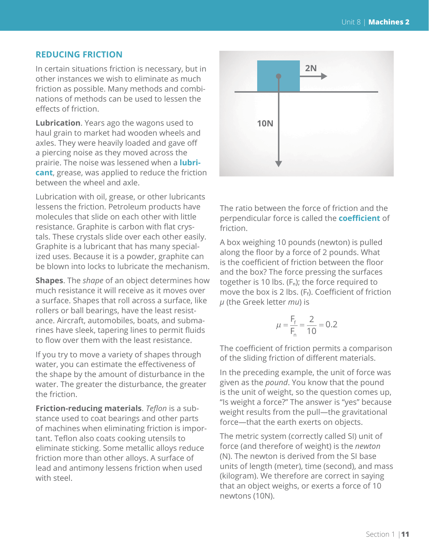#### **REDUCING FRICTION**

In certain situations friction is necessary, but in other instances we wish to eliminate as much friction as possible. Many methods and combinations of methods can be used to lessen the effects of friction.

**Lubrication**. Years ago the wagons used to haul grain to market had wooden wheels and axles. They were heavily loaded and gave off a piercing noise as they moved across the prairie. The noise was lessened when a **lubricant**, grease, was applied to reduce the friction between the wheel and axle.

Lubrication with oil, grease, or other lubricants lessens the friction. Petroleum products have molecules that slide on each other with little resistance. Graphite is carbon with flat crystals. These crystals slide over each other easily. Graphite is a lubricant that has many specialized uses. Because it is a powder, graphite can be blown into locks to lubricate the mechanism.

**Shapes**. The *shape* of an object determines how much resistance it will receive as it moves over a surface. Shapes that roll across a surface, like rollers or ball bearings, have the least resistance. Aircraft, automobiles, boats, and submarines have sleek, tapering lines to permit fluids to flow over them with the least resistance.

If you try to move a variety of shapes through water, you can estimate the effectiveness of the shape by the amount of disturbance in the water. The greater the disturbance, the greater the friction.

**Friction-reducing materials**. *Teflon* is a substance used to coat bearings and other parts of machines when eliminating friction is important. Teflon also coats cooking utensils to eliminate sticking. Some metallic alloys reduce friction more than other alloys. A surface of lead and antimony lessens friction when used with steel.



The ratio between the force of friction and the perpendicular force is called the **coefficient** of friction.

A box weighing 10 pounds (newton) is pulled along the floor by a force of 2 pounds. What is the coefficient of friction between the floor and the box? The force pressing the surfaces together is 10 lbs. (F**n**); the force required to move the box is 2 lbs. (F**f**). Coefficient of friction *µ* (the Greek letter *mu*) is

$$
\mu = \frac{F_f}{F_n} = \frac{2}{10} = 0.2
$$

The coefficient of friction permits a comparison of the sliding friction of different materials.

In the preceding example, the unit of force was given as the *pound*. You know that the pound is the unit of weight, so the question comes up, "Is weight a force?" The answer is "yes" because weight results from the pull—the gravitational force—that the earth exerts on objects.

The metric system (correctly called SI) unit of force (and therefore of weight) is the *newton* (N). The newton is derived from the SI base units of length (meter), time (second), and mass (kilogram). We therefore are correct in saying that an object weighs, or exerts a force of 10 newtons (10N).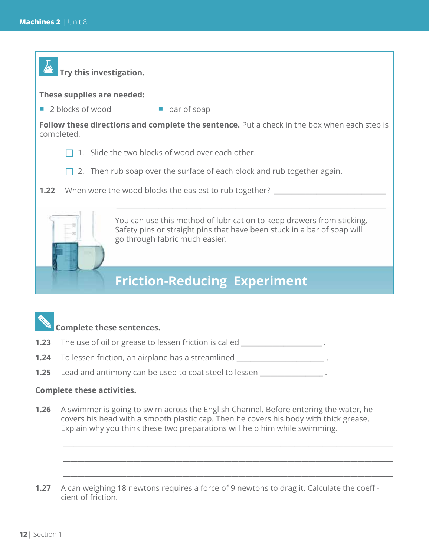



Safety pins or straight pins that have been stuck in a bar of soap will go through fabric much easier.

### **Friction-Reducing Experiment**

#### **Complete these sentences.**

- **1.23** The use of oil or grease to lessen friction is called \_\_\_\_\_\_\_\_\_\_\_\_\_\_\_\_\_\_\_\_
- **1.24** To lessen friction, an airplane has a streamlined  $\qquad \qquad$ .
- **1.25** Lead and antimony can be used to coat steel to lessen \_\_\_\_\_\_\_\_\_\_\_\_\_\_\_\_\_.

#### **Complete these activities.**

**1.26** A swimmer is going to swim across the English Channel. Before entering the water, he covers his head with a smooth plastic cap. Then he covers his body with thick grease. Explain why you think these two preparations will help him while swimming.

\_\_\_\_\_\_\_\_\_\_\_\_\_\_\_\_\_\_\_\_\_\_\_\_\_\_\_\_\_\_\_\_\_\_\_\_\_\_\_\_\_\_\_\_\_\_\_\_\_\_\_\_\_\_\_\_\_\_\_\_\_\_\_\_\_\_\_\_\_\_\_\_\_\_\_\_\_\_\_\_\_\_\_\_\_\_\_\_\_\_\_\_\_\_

\_\_\_\_\_\_\_\_\_\_\_\_\_\_\_\_\_\_\_\_\_\_\_\_\_\_\_\_\_\_\_\_\_\_\_\_\_\_\_\_\_\_\_\_\_\_\_\_\_\_\_\_\_\_\_\_\_\_\_\_\_\_\_\_\_\_\_\_\_\_\_\_\_\_\_\_\_\_\_\_\_\_\_\_\_\_\_\_\_\_\_\_\_\_

\_\_\_\_\_\_\_\_\_\_\_\_\_\_\_\_\_\_\_\_\_\_\_\_\_\_\_\_\_\_\_\_\_\_\_\_\_\_\_\_\_\_\_\_\_\_\_\_\_\_\_\_\_\_\_\_\_\_\_\_\_\_\_\_\_\_\_\_\_\_\_\_\_\_\_\_\_\_\_\_\_\_\_\_\_\_\_\_\_\_\_\_\_\_

**<sup>1.27</sup>** A can weighing 18 newtons requires a force of 9 newtons to drag it. Calculate the coefficient of friction.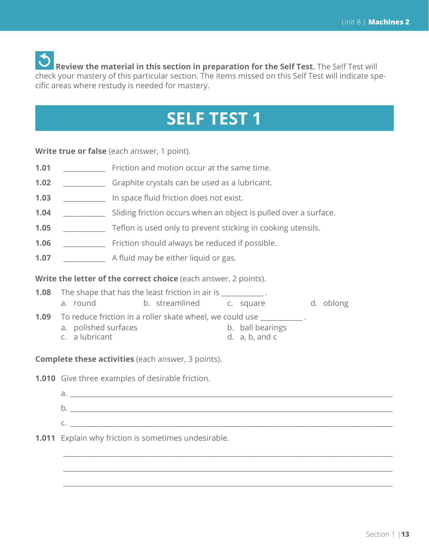**Review the material in this section in preparation for the Self Test.** The Self Test will check your mastery of this particular section. The items missed on this Self Test will indicate specific areas where restudy is needed for mastery.

### **SELF TEST 1**

**Write true or false** (each answer, 1 point).

- **1.01 Example 3** Friction and motion occur at the same time.
- **1.02** \_\_\_\_\_\_\_\_\_\_\_\_ Graphite crystals can be used as a lubricant.
- **1.03** \_\_\_\_\_\_\_\_\_\_\_\_ In space fluid friction does not exist.
- **1.04** \_\_\_\_\_\_\_\_\_\_\_\_ Sliding friction occurs when an object is pulled over a surface.
- **1.05** \_\_\_\_\_\_\_\_\_\_\_\_ Teflon is used only to prevent sticking in cooking utensils.
- **1.06** \_\_\_\_\_\_\_\_\_\_\_\_ Friction should always be reduced if possible.
- **1.07** \_\_\_\_\_\_\_\_\_\_\_\_ A fluid may be either liquid or gas.

**Write the letter of the correct choice** (each answer, 2 points).

| <b>1.08</b> The shape that has the least friction in air is _______ |                                                                      |                          |                  |                  |  |           |
|---------------------------------------------------------------------|----------------------------------------------------------------------|--------------------------|------------------|------------------|--|-----------|
|                                                                     | a. round                                                             | b. streamlined c. square |                  |                  |  | d. oblong |
|                                                                     | <b>1.09</b> To reduce friction in a roller skate wheel, we could use |                          |                  |                  |  |           |
|                                                                     | a. polished surfaces                                                 |                          |                  | b. ball bearings |  |           |
|                                                                     | c. a lubricant                                                       |                          | d. $a, b, and c$ |                  |  |           |

**Complete these activities** (each answer, 3 points).

**1.010** Give three examples of desirable friction.

| <b>1.011</b> Explain why friction is sometimes undesirable. |
|-------------------------------------------------------------|

\_\_\_\_\_\_\_\_\_\_\_\_\_\_\_\_\_\_\_\_\_\_\_\_\_\_\_\_\_\_\_\_\_\_\_\_\_\_\_\_\_\_\_\_\_\_\_\_\_\_\_\_\_\_\_\_\_\_\_\_\_\_\_\_\_\_\_\_\_\_\_\_\_\_\_\_\_\_\_\_\_\_\_\_\_\_\_\_\_\_\_\_\_\_

\_\_\_\_\_\_\_\_\_\_\_\_\_\_\_\_\_\_\_\_\_\_\_\_\_\_\_\_\_\_\_\_\_\_\_\_\_\_\_\_\_\_\_\_\_\_\_\_\_\_\_\_\_\_\_\_\_\_\_\_\_\_\_\_\_\_\_\_\_\_\_\_\_\_\_\_\_\_\_\_\_\_\_\_\_\_\_\_\_\_\_\_\_\_

\_\_\_\_\_\_\_\_\_\_\_\_\_\_\_\_\_\_\_\_\_\_\_\_\_\_\_\_\_\_\_\_\_\_\_\_\_\_\_\_\_\_\_\_\_\_\_\_\_\_\_\_\_\_\_\_\_\_\_\_\_\_\_\_\_\_\_\_\_\_\_\_\_\_\_\_\_\_\_\_\_\_\_\_\_\_\_\_\_\_\_\_\_\_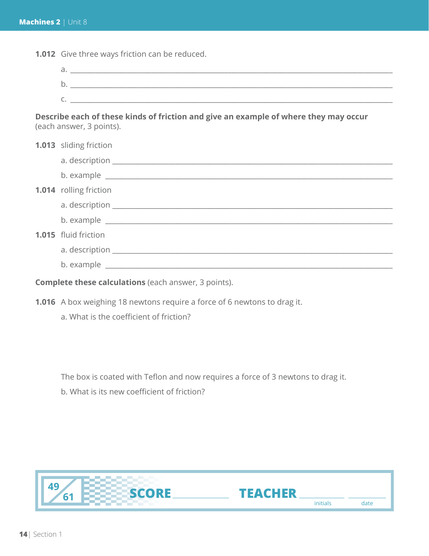| <b>1.012</b> Give three ways friction can be reduced.                                                            |
|------------------------------------------------------------------------------------------------------------------|
|                                                                                                                  |
|                                                                                                                  |
|                                                                                                                  |
| Describe each of these kinds of friction and give an example of where they may occur<br>(each answer, 3 points). |
| <b>1.013</b> sliding friction                                                                                    |
|                                                                                                                  |
|                                                                                                                  |
| <b>1.014</b> rolling friction                                                                                    |
|                                                                                                                  |
|                                                                                                                  |
| <b>1.015</b> fluid friction                                                                                      |
|                                                                                                                  |
|                                                                                                                  |
| <b>Complete these calculations</b> (each answer, 3 points).                                                      |
| <b>1.016</b> A box weighing 18 newtons require a force of 6 newtons to drag it.                                  |

a. What is the coefficient of friction?

The box is coated with Teflon and now requires a force of 3 newtons to drag it.

b. What is its new coefficient of friction?